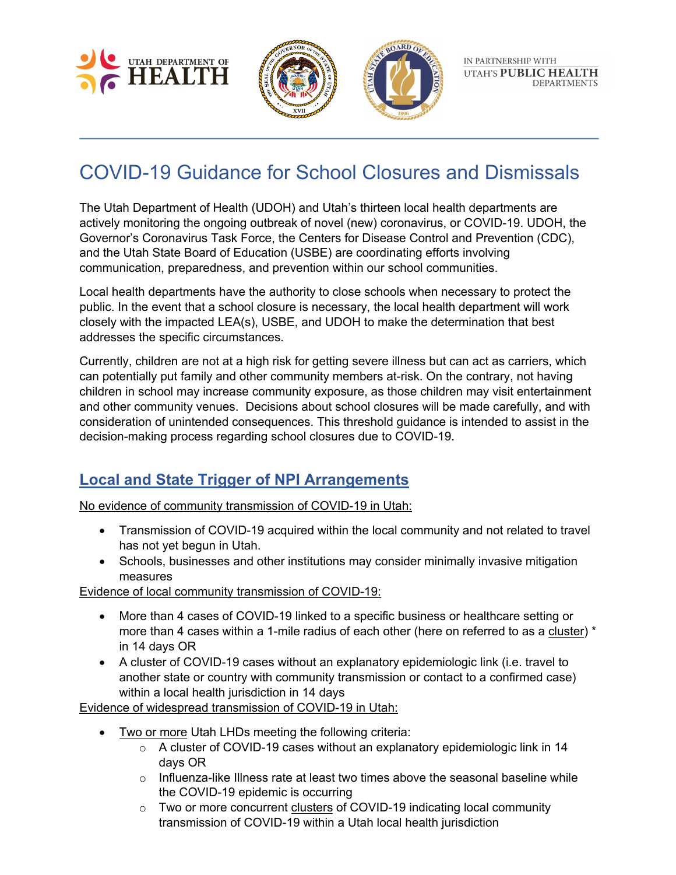



# COVID-19 Guidance for School Closures and Dismissals

The Utah Department of Health (UDOH) and Utah's thirteen local health departments are actively monitoring the ongoing outbreak of novel (new) coronavirus, or COVID-19. UDOH, the Governor's Coronavirus Task Force, the Centers for Disease Control and Prevention (CDC), and the Utah State Board of Education (USBE) are coordinating efforts involving communication, preparedness, and prevention within our school communities.

Local health departments have the authority to close schools when necessary to protect the public. In the event that a school closure is necessary, the local health department will work closely with the impacted LEA(s), USBE, and UDOH to make the determination that best addresses the specific circumstances.

Currently, children are not at a high risk for getting severe illness but can act as carriers, which can potentially put family and other community members at-risk. On the contrary, not having children in school may increase community exposure, as those children may visit entertainment and other community venues. Decisions about school closures will be made carefully, and with consideration of unintended consequences. This threshold guidance is intended to assist in the decision-making process regarding school closures due to COVID-19.

# **Local and State Trigger of NPI Arrangements**

No evidence of community transmission of COVID-19 in Utah:

- Transmission of COVID-19 acquired within the local community and not related to travel has not yet begun in Utah.
- Schools, businesses and other institutions may consider minimally invasive mitigation measures

Evidence of local community transmission of COVID-19:

- More than 4 cases of COVID-19 linked to a specific business or healthcare setting or more than 4 cases within a 1-mile radius of each other (here on referred to as a cluster) \* in 14 days OR
- A cluster of COVID-19 cases without an explanatory epidemiologic link (i.e. travel to another state or country with community transmission or contact to a confirmed case) within a local health jurisdiction in 14 days

Evidence of widespread transmission of COVID-19 in Utah:

- Two or more Utah LHDs meeting the following criteria:
	- o A cluster of COVID-19 cases without an explanatory epidemiologic link in 14 days OR
	- $\circ$  Influenza-like Illness rate at least two times above the seasonal baseline while the COVID-19 epidemic is occurring
	- o Two or more concurrent clusters of COVID-19 indicating local community transmission of COVID-19 within a Utah local health jurisdiction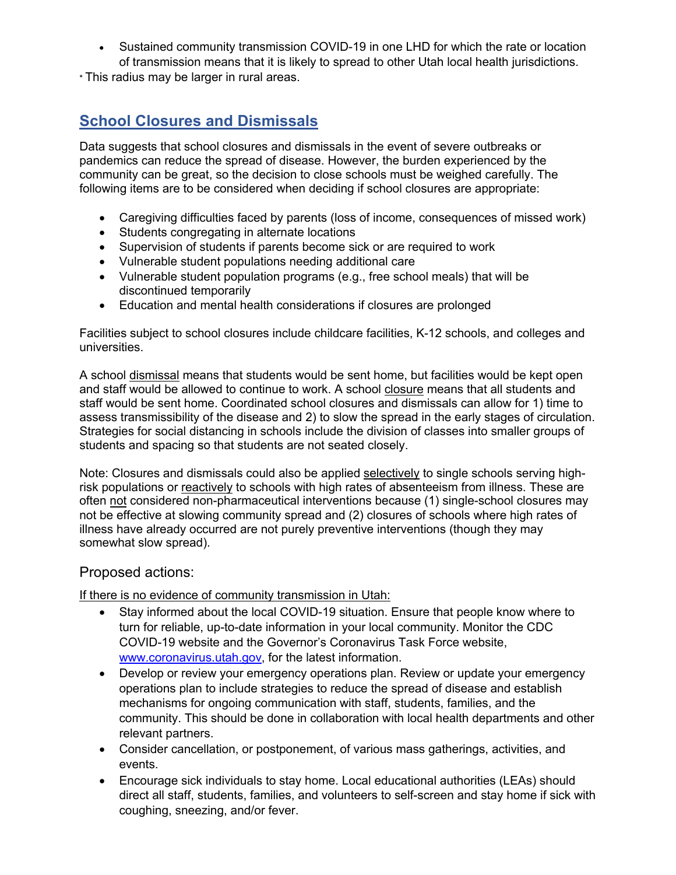• Sustained community transmission COVID-19 in one LHD for which the rate or location of transmission means that it is likely to spread to other Utah local health jurisdictions.

\* This radius may be larger in rural areas.

# **School Closures and Dismissals**

Data suggests that school closures and dismissals in the event of severe outbreaks or pandemics can reduce the spread of disease. However, the burden experienced by the community can be great, so the decision to close schools must be weighed carefully. The following items are to be considered when deciding if school closures are appropriate:

- Caregiving difficulties faced by parents (loss of income, consequences of missed work)
- Students congregating in alternate locations
- Supervision of students if parents become sick or are required to work
- Vulnerable student populations needing additional care
- Vulnerable student population programs (e.g., free school meals) that will be discontinued temporarily
- Education and mental health considerations if closures are prolonged

Facilities subject to school closures include childcare facilities, K-12 schools, and colleges and universities.

A school dismissal means that students would be sent home, but facilities would be kept open and staff would be allowed to continue to work. A school closure means that all students and staff would be sent home. Coordinated school closures and dismissals can allow for 1) time to assess transmissibility of the disease and 2) to slow the spread in the early stages of circulation. Strategies for social distancing in schools include the division of classes into smaller groups of students and spacing so that students are not seated closely.

Note: Closures and dismissals could also be applied selectively to single schools serving highrisk populations or reactively to schools with high rates of absenteeism from illness. These are often not considered non-pharmaceutical interventions because (1) single-school closures may not be effective at slowing community spread and (2) closures of schools where high rates of illness have already occurred are not purely preventive interventions (though they may somewhat slow spread).

#### Proposed actions:

If there is no evidence of community transmission in Utah:

- Stay informed about the local COVID-19 situation. Ensure that people know where to turn for reliable, up-to-date information in your local community. Monitor the CDC COVID-19 website and the Governor's Coronavirus Task Force website, www.coronavirus.utah.gov, for the latest information.
- Develop or review your emergency operations plan. Review or update your emergency operations plan to include strategies to reduce the spread of disease and establish mechanisms for ongoing communication with staff, students, families, and the community. This should be done in collaboration with local health departments and other relevant partners.
- Consider cancellation, or postponement, of various mass gatherings, activities, and events.
- Encourage sick individuals to stay home. Local educational authorities (LEAs) should direct all staff, students, families, and volunteers to self-screen and stay home if sick with coughing, sneezing, and/or fever.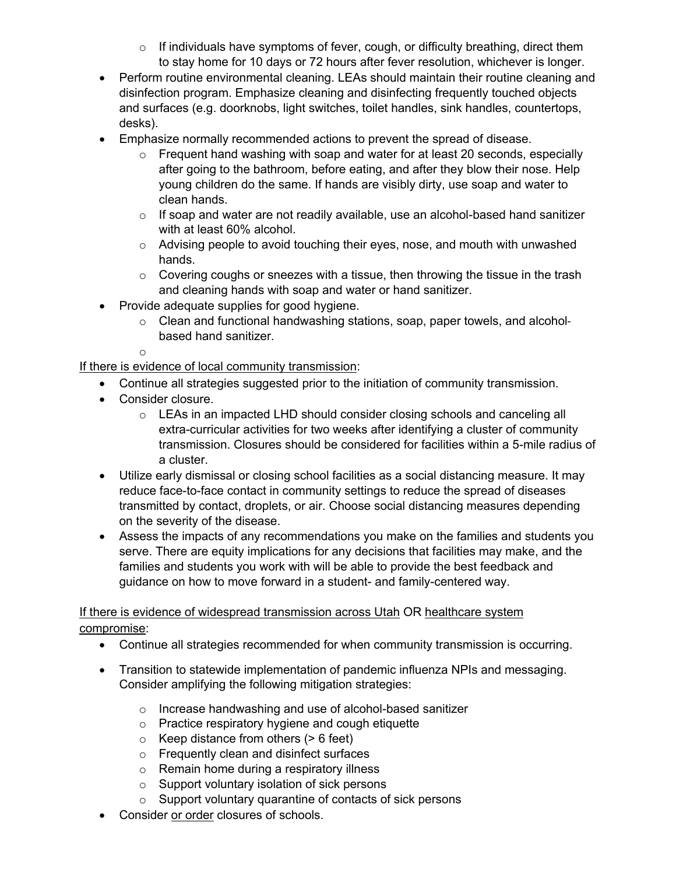- $\circ$  If individuals have symptoms of fever, cough, or difficulty breathing, direct them to stay home for 10 days or 72 hours after fever resolution, whichever is longer.
- Perform routine environmental cleaning. LEAs should maintain their routine cleaning and disinfection program. Emphasize cleaning and disinfecting frequently touched objects and surfaces (e.g. doorknobs, light switches, toilet handles, sink handles, countertops, desks).
- Emphasize normally recommended actions to prevent the spread of disease.
	- o Frequent hand washing with soap and water for at least 20 seconds, especially after going to the bathroom, before eating, and after they blow their nose. Help young children do the same. If hands are visibly dirty, use soap and water to clean hands.
	- o If soap and water are not readily available, use an alcohol-based hand sanitizer with at least 60% alcohol.
	- o Advising people to avoid touching their eyes, nose, and mouth with unwashed hands.
	- o Covering coughs or sneezes with a tissue, then throwing the tissue in the trash and cleaning hands with soap and water or hand sanitizer.
- Provide adequate supplies for good hygiene.
	- $\circ$  Clean and functional handwashing stations, soap, paper towels, and alcoholbased hand sanitizer.

o

If there is evidence of local community transmission:

- Continue all strategies suggested prior to the initiation of community transmission.
- Consider closure.
	- o LEAs in an impacted LHD should consider closing schools and canceling all extra-curricular activities for two weeks after identifying a cluster of community transmission. Closures should be considered for facilities within a 5-mile radius of a cluster.
- Utilize early dismissal or closing school facilities as a social distancing measure. It may reduce face-to-face contact in community settings to reduce the spread of diseases transmitted by contact, droplets, or air. Choose social distancing measures depending on the severity of the disease.
- Assess the impacts of any recommendations you make on the families and students you serve. There are equity implications for any decisions that facilities may make, and the families and students you work with will be able to provide the best feedback and guidance on how to move forward in a student- and family-centered way.

#### If there is evidence of widespread transmission across Utah OR healthcare system compromise:

- Continue all strategies recommended for when community transmission is occurring.
- Transition to statewide implementation of pandemic influenza NPIs and messaging. Consider amplifying the following mitigation strategies:
	- o Increase handwashing and use of alcohol-based sanitizer
	- o Practice respiratory hygiene and cough etiquette
	- $\circ$  Keep distance from others ( $> 6$  feet)
	- o Frequently clean and disinfect surfaces
	- o Remain home during a respiratory illness
	- o Support voluntary isolation of sick persons
	- o Support voluntary quarantine of contacts of sick persons
- Consider or order closures of schools.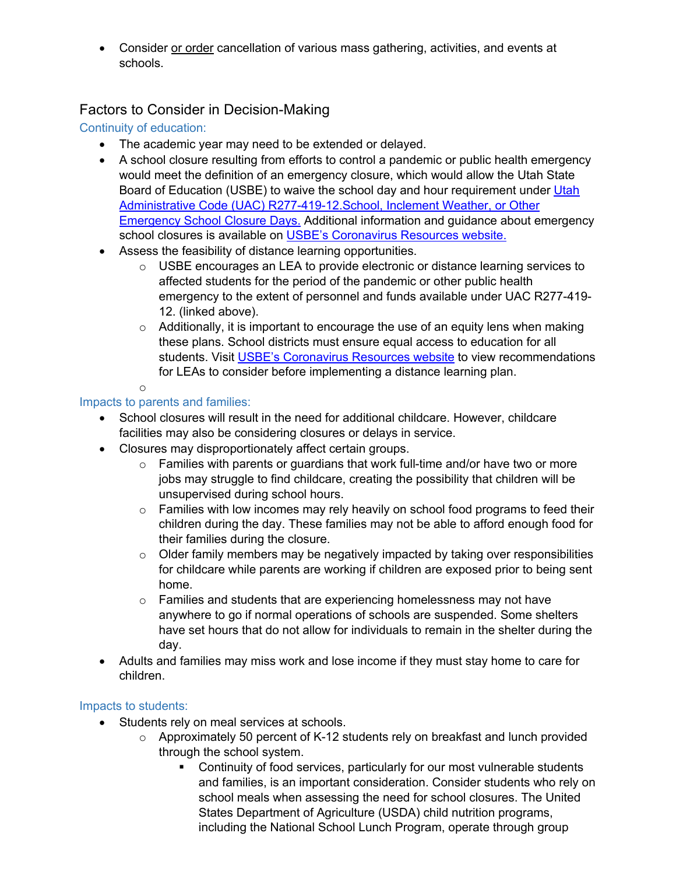• Consider or order cancellation of various mass gathering, activities, and events at schools.

## Factors to Consider in Decision-Making

## Continuity of education:

- The academic year may need to be extended or delayed.
- A school closure resulting from efforts to control a pandemic or public health emergency would meet the definition of an emergency closure, which would allow the Utah State Board of Education (USBE) to waive the school day and hour requirement under Utah Administrative Code (UAC) R277-419-12.School, Inclement Weather, or Other Emergency School Closure Days. Additional information and guidance about emergency school closures is available on USBE's Coronavirus Resources website.
- Assess the feasibility of distance learning opportunities.
	- $\circ$  USBE encourages an LEA to provide electronic or distance learning services to affected students for the period of the pandemic or other public health emergency to the extent of personnel and funds available under UAC R277-419- 12. (linked above).
	- $\circ$  Additionally, it is important to encourage the use of an equity lens when making these plans. School districts must ensure equal access to education for all students. Visit USBE's Coronavirus Resources website to view recommendations for LEAs to consider before implementing a distance learning plan.
	- o

#### Impacts to parents and families:

- School closures will result in the need for additional childcare. However, childcare facilities may also be considering closures or delays in service.
- Closures may disproportionately affect certain groups.
	- o Families with parents or guardians that work full-time and/or have two or more jobs may struggle to find childcare, creating the possibility that children will be unsupervised during school hours.
	- $\circ$  Families with low incomes may rely heavily on school food programs to feed their children during the day. These families may not be able to afford enough food for their families during the closure.
	- $\circ$  Older family members may be negatively impacted by taking over responsibilities for childcare while parents are working if children are exposed prior to being sent home.
	- o Families and students that are experiencing homelessness may not have anywhere to go if normal operations of schools are suspended. Some shelters have set hours that do not allow for individuals to remain in the shelter during the day.
- Adults and families may miss work and lose income if they must stay home to care for children.

#### Impacts to students:

- Students rely on meal services at schools.
	- o Approximately 50 percent of K-12 students rely on breakfast and lunch provided through the school system.
		- Continuity of food services, particularly for our most vulnerable students and families, is an important consideration. Consider students who rely on school meals when assessing the need for school closures. The United States Department of Agriculture (USDA) child nutrition programs, including the National School Lunch Program, operate through group